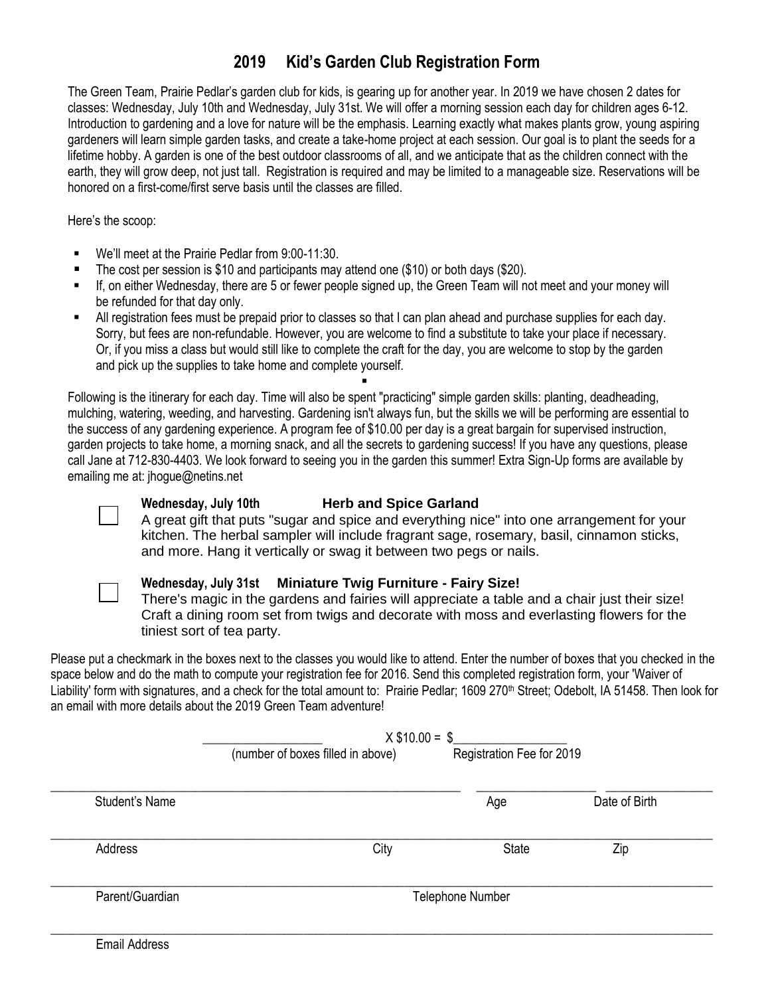## **2019 Kid's Garden Club Registration Form**

The Green Team, Prairie Pedlar's garden club for kids, is gearing up for another year. In 2019 we have chosen 2 dates for classes: Wednesday, July 10th and Wednesday, July 31st. We will offer a morning session each day for children ages 6-12. Introduction to gardening and a love for nature will be the emphasis. Learning exactly what makes plants grow, young aspiring gardeners will learn simple garden tasks, and create a take-home project at each session. Our goal is to plant the seeds for a lifetime hobby. A garden is one of the best outdoor classrooms of all, and we anticipate that as the children connect with the earth, they will grow deep, not just tall. Registration is required and may be limited to a manageable size. Reservations will be honored on a first-come/first serve basis until the classes are filled.

Here's the scoop:

- We'll meet at the Prairie Pedlar from 9:00-11:30.
- The cost per session is \$10 and participants may attend one (\$10) or both days (\$20).
- If, on either Wednesday, there are 5 or fewer people signed up, the Green Team will not meet and your money will be refunded for that day only.
- All registration fees must be prepaid prior to classes so that I can plan ahead and purchase supplies for each day. Sorry, but fees are non-refundable. However, you are welcome to find a substitute to take your place if necessary. Or, if you miss a class but would still like to complete the craft for the day, you are welcome to stop by the garden and pick up the supplies to take home and complete yourself.

 $\blacksquare$ 

Following is the itinerary for each day. Time will also be spent "practicing" simple garden skills: planting, deadheading, mulching, watering, weeding, and harvesting. Gardening isn't always fun, but the skills we will be performing are essential to the success of any gardening experience. A program fee of \$10.00 per day is a great bargain for supervised instruction, garden projects to take home, a morning snack, and all the secrets to gardening success! If you have any questions, please call Jane at 712-830-4403. We look forward to seeing you in the garden this summer! Extra Sign-Up forms are available by emailing me at: jhogue@netins.net



## **Wednesday, July 10th Herb and Spice Garland**

A great gift that puts "sugar and spice and everything nice" into one arrangement for your kitchen. The herbal sampler will include fragrant sage, rosemary, basil, cinnamon sticks, and more. Hang it vertically or swag it between two pegs or nails.



## **Wednesday, July 31st Miniature Twig Furniture - Fairy Size!**

There's magic in the gardens and fairies will appreciate a table and a chair just their size! Craft a dining room set from twigs and decorate with moss and everlasting flowers for the tiniest sort of tea party.

Please put a checkmark in the boxes next to the classes you would like to attend. Enter the number of boxes that you checked in the space below and do the math to compute your registration fee for 2016. Send this completed registration form, your 'Waiver of Liability' form with signatures, and a check for the total amount to: Prairie Pedlar; 1609 270<sup>th</sup> Street; Odebolt, IA 51458. Then look for an email with more details about the 2019 Green Team adventure!

|                 | $X$ \$10.00 = \$                  |                           |               |
|-----------------|-----------------------------------|---------------------------|---------------|
|                 | (number of boxes filled in above) | Registration Fee for 2019 |               |
| Student's Name  |                                   | Age                       | Date of Birth |
| Address         | City                              | State                     | Zip           |
| Parent/Guardian |                                   | Telephone Number          |               |